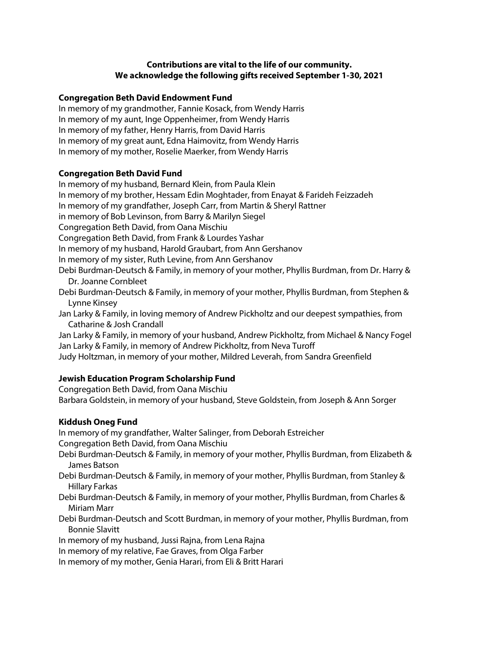# **Contributions are vital to the life of our community. We acknowledge the following gifts received September 1-30, 2021**

#### **Congregation Beth David Endowment Fund**

In memory of my grandmother, Fannie Kosack, from Wendy Harris In memory of my aunt, Inge Oppenheimer, from Wendy Harris In memory of my father, Henry Harris, from David Harris In memory of my great aunt, Edna Haimovitz, from Wendy Harris In memory of my mother, Roselie Maerker, from Wendy Harris

## **Congregation Beth David Fund**

In memory of my husband, Bernard Klein, from Paula Klein In memory of my brother, Hessam Edin Moghtader, from Enayat & Farideh Feizzadeh In memory of my grandfather, Joseph Carr, from Martin & Sheryl Rattner in memory of Bob Levinson, from Barry & Marilyn Siegel Congregation Beth David, from Oana Mischiu Congregation Beth David, from Frank & Lourdes Yashar In memory of my husband, Harold Graubart, from Ann Gershanov In memory of my sister, Ruth Levine, from Ann Gershanov Debi Burdman-Deutsch & Family, in memory of your mother, Phyllis Burdman, from Dr. Harry & Dr. Joanne Cornbleet Debi Burdman-Deutsch & Family, in memory of your mother, Phyllis Burdman, from Stephen & Lynne Kinsey

Jan Larky & Family, in loving memory of Andrew Pickholtz and our deepest sympathies, from Catharine & Josh Crandall

Jan Larky & Family, in memory of your husband, Andrew Pickholtz, from Michael & Nancy Fogel Jan Larky & Family, in memory of Andrew Pickholtz, from Neva Turoff

Judy Holtzman, in memory of your mother, Mildred Leverah, from Sandra Greenfield

## **Jewish Education Program Scholarship Fund**

Congregation Beth David, from Oana Mischiu Barbara Goldstein, in memory of your husband, Steve Goldstein, from Joseph & Ann Sorger

## **Kiddush Oneg Fund**

In memory of my grandfather, Walter Salinger, from Deborah Estreicher Congregation Beth David, from Oana Mischiu

Debi Burdman-Deutsch & Family, in memory of your mother, Phyllis Burdman, from Elizabeth & James Batson

Debi Burdman-Deutsch & Family, in memory of your mother, Phyllis Burdman, from Stanley & Hillary Farkas

Debi Burdman-Deutsch & Family, in memory of your mother, Phyllis Burdman, from Charles & Miriam Marr

Debi Burdman-Deutsch and Scott Burdman, in memory of your mother, Phyllis Burdman, from Bonnie Slavitt

In memory of my husband, Jussi Rajna, from Lena Rajna

In memory of my relative, Fae Graves, from Olga Farber

In memory of my mother, Genia Harari, from Eli & Britt Harari